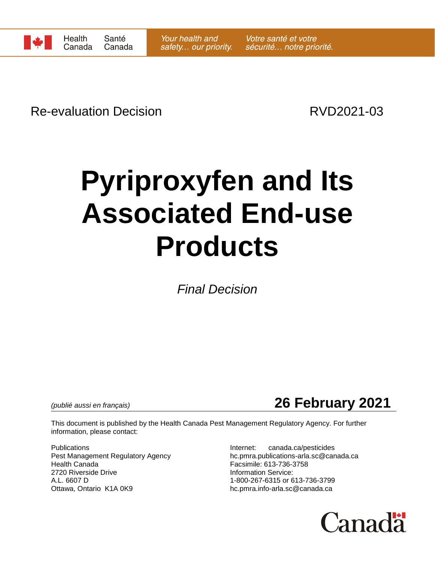

Re-evaluation Decision **RVD2021-03** 

# **Pyriproxyfen and Its Associated End-use Products**

*Final Decision*

*(publié aussi en français)* **26 February 2021**

This document is published by the Health Canada Pest Management Regulatory Agency. For further information, please contact:

Publications **Internet:** canada.ca/pesticides Health Canada Facsimile: 613-736-3758 2720 Riverside Drive **Information Service:** A.L. 6607 D<br>Ottawa, Ontario K1A 0K9 Delta Controller Management Christman 1-800-267-6315 or 613-736-3799

Pest Management Regulatory Agency hc.pmra.publications-arla.sc@canada.ca hc.pmra.info-arla.sc@canada.ca

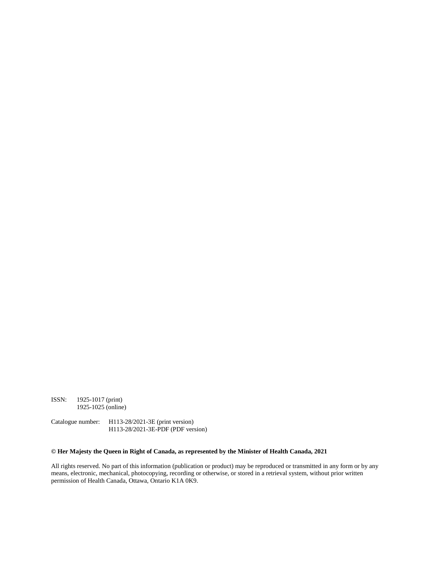ISSN: 1925-1017 (print) 1925-1025 (online)

Catalogue number: H113-28/2021-3E (print version) H113-28/2021-3E-PDF (PDF version)

#### **© Her Majesty the Queen in Right of Canada, as represented by the Minister of Health Canada, 2021**

All rights reserved. No part of this information (publication or product) may be reproduced or transmitted in any form or by any means, electronic, mechanical, photocopying, recording or otherwise, or stored in a retrieval system, without prior written permission of Health Canada, Ottawa, Ontario K1A 0K9.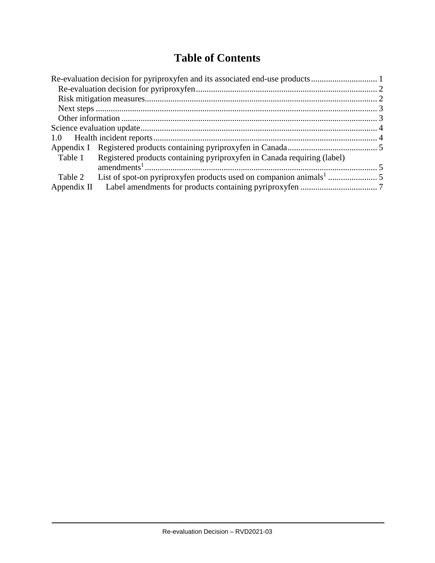# **Table of Contents**

| Table 1 Registered products containing pyriproxyfen in Canada requiring (label) |  |  |  |
|---------------------------------------------------------------------------------|--|--|--|
|                                                                                 |  |  |  |
| Table 2                                                                         |  |  |  |
|                                                                                 |  |  |  |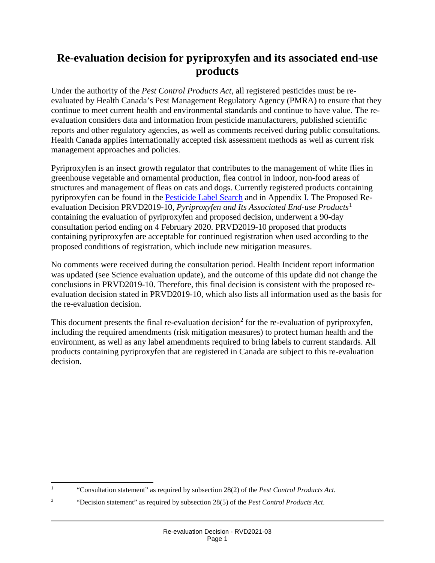# **Re-evaluation decision for pyriproxyfen and its associated end-use products**

Under the authority of the *Pest Control Products Act,* all registered pesticides must be reevaluated by Health Canada's Pest Management Regulatory Agency (PMRA) to ensure that they continue to meet current health and environmental standards and continue to have value. The reevaluation considers data and information from pesticide manufacturers, published scientific reports and other regulatory agencies, as well as comments received during public consultations. Health Canada applies internationally accepted risk assessment methods as well as current risk management approaches and policies.

Pyriproxyfen is an insect growth regulator that contributes to the management of white flies in greenhouse vegetable and ornamental production, flea control in indoor, non-food areas of structures and management of fleas on cats and dogs. Currently registered products containing pyriproxyfen can be found in the [Pesticide Label Search](https://www.canada.ca/en/health-canada/services/consumer-product-safety/pesticides-pest-management/registrants-applicants/tools/pesticide-label-search.html) and in Appendix I. The Proposed Reevaluation Decision PRVD2019-10, *Pyriproxyfen and Its Associated End-use Products*[1](#page-3-0) containing the evaluation of pyriproxyfen and proposed decision, underwent a 90-day consultation period ending on 4 February 2020. PRVD2019-10 proposed that products containing pyriproxyfen are acceptable for continued registration when used according to the proposed conditions of registration, which include new mitigation measures.

No comments were received during the consultation period. Health Incident report information was updated (see Science evaluation update), and the outcome of this update did not change the conclusions in PRVD2019-10. Therefore, this final decision is consistent with the proposed reevaluation decision stated in PRVD2019-10, which also lists all information used as the basis for the re-evaluation decision.

This document presents the final re-evaluation decision<sup>[2](#page-3-1)</sup> for the re-evaluation of pyriproxyfen, including the required amendments (risk mitigation measures) to protect human health and the environment, as well as any label amendments required to bring labels to current standards. All products containing pyriproxyfen that are registered in Canada are subject to this re-evaluation decision.

<span id="page-3-0"></span> <sup>1</sup> "Consultation statement" as required by subsection 28(2) of the *Pest Control Products Act*.

<span id="page-3-1"></span><sup>2</sup> "Decision statement" as required by subsection 28(5) of the *Pest Control Products Act*.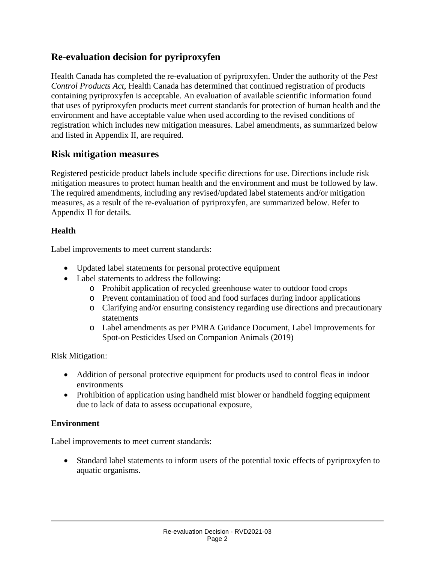## **Re-evaluation decision for pyriproxyfen**

Health Canada has completed the re-evaluation of pyriproxyfen. Under the authority of the *Pest Control Products Act*, Health Canada has determined that continued registration of products containing pyriproxyfen is acceptable. An evaluation of available scientific information found that uses of pyriproxyfen products meet current standards for protection of human health and the environment and have acceptable value when used according to the revised conditions of registration which includes new mitigation measures. Label amendments, as summarized below and listed in Appendix II, are required.

## **Risk mitigation measures**

Registered pesticide product labels include specific directions for use. Directions include risk mitigation measures to protect human health and the environment and must be followed by law. The required amendments, including any revised/updated label statements and/or mitigation measures, as a result of the re-evaluation of pyriproxyfen, are summarized below. Refer to Appendix II for details.

#### **Health**

Label improvements to meet current standards:

- Updated label statements for personal protective equipment
- Label statements to address the following:
	- o Prohibit application of recycled greenhouse water to outdoor food crops
	- o Prevent contamination of food and food surfaces during indoor applications
	- o Clarifying and/or ensuring consistency regarding use directions and precautionary statements
	- o Label amendments as per PMRA Guidance Document, Label Improvements for Spot-on Pesticides Used on Companion Animals (2019)

Risk Mitigation:

- Addition of personal protective equipment for products used to control fleas in indoor environments
- Prohibition of application using handheld mist blower or handheld fogging equipment due to lack of data to assess occupational exposure,

#### **Environment**

Label improvements to meet current standards:

• Standard label statements to inform users of the potential toxic effects of pyriproxyfen to aquatic organisms.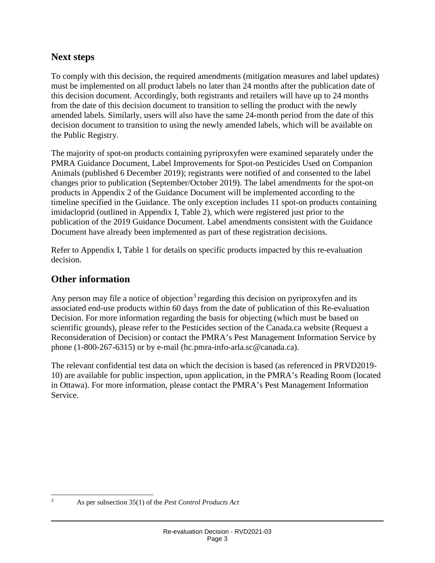## **Next steps**

To comply with this decision, the required amendments (mitigation measures and label updates) must be implemented on all product labels no later than 24 months after the publication date of this decision document. Accordingly, both registrants and retailers will have up to 24 months from the date of this decision document to transition to selling the product with the newly amended labels. Similarly, users will also have the same 24-month period from the date of this decision document to transition to using the newly amended labels, which will be available on the Public Registry.

The majority of spot-on products containing pyriproxyfen were examined separately under the PMRA Guidance Document, Label Improvements for Spot-on Pesticides Used on Companion Animals (published 6 December 2019); registrants were notified of and consented to the label changes prior to publication (September/October 2019). The label amendments for the spot-on products in Appendix 2 of the Guidance Document will be implemented according to the timeline specified in the Guidance. The only exception includes 11 spot-on products containing imidacloprid (outlined in Appendix I, Table 2), which were registered just prior to the publication of the 2019 Guidance Document. Label amendments consistent with the Guidance Document have already been implemented as part of these registration decisions.

Refer to Appendix I, Table 1 for details on specific products impacted by this re-evaluation decision.

### **Other information**

Any person may file a notice of objection<sup>[3](#page-5-0)</sup> regarding this decision on pyriproxyfen and its associated end-use products within 60 days from the date of publication of this Re-evaluation Decision. For more information regarding the basis for objecting (which must be based on scientific grounds), please refer to the Pesticides section of the Canada.ca website (Request a Reconsideration of Decision) or contact the PMRA's Pest Management Information Service by phone (1-800-267-6315) or by e-mail (hc.pmra-info-arla.sc@canada.ca).

The relevant confidential test data on which the decision is based (as referenced in PRVD2019- 10) are available for public inspection, upon application, in the PMRA's Reading Room (located in Ottawa). For more information, please contact the PMRA's Pest Management Information Service.

<span id="page-5-0"></span>

 <sup>3</sup> As per subsection 35(1) of the *Pest Control Products Act*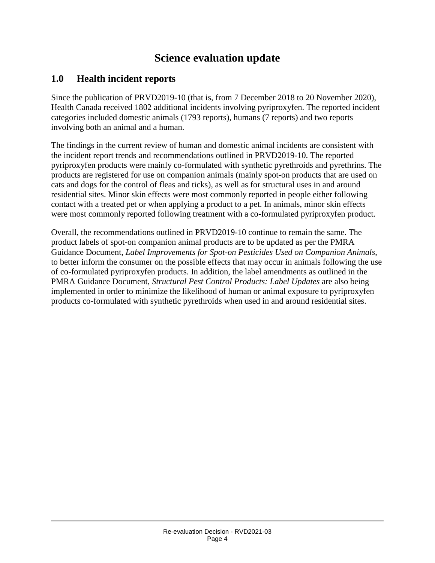# **Science evaluation update**

# **1.0 Health incident reports**

Since the publication of PRVD2019-10 (that is, from 7 December 2018 to 20 November 2020), Health Canada received 1802 additional incidents involving pyriproxyfen. The reported incident categories included domestic animals (1793 reports), humans (7 reports) and two reports involving both an animal and a human.

The findings in the current review of human and domestic animal incidents are consistent with the incident report trends and recommendations outlined in PRVD2019-10. The reported pyriproxyfen products were mainly co-formulated with synthetic pyrethroids and pyrethrins. The products are registered for use on companion animals (mainly spot-on products that are used on cats and dogs for the control of fleas and ticks), as well as for structural uses in and around residential sites. Minor skin effects were most commonly reported in people either following contact with a treated pet or when applying a product to a pet. In animals, minor skin effects were most commonly reported following treatment with a co-formulated pyriproxyfen product.

Overall, the recommendations outlined in PRVD2019-10 continue to remain the same. The product labels of spot-on companion animal products are to be updated as per the PMRA Guidance Document, *Label Improvements for Spot-on Pesticides Used on Companion Animals*, to better inform the consumer on the possible effects that may occur in animals following the use of co-formulated pyriproxyfen products. In addition, the label amendments as outlined in the PMRA Guidance Document, *Structural Pest Control Products: Label Updates* are also being implemented in order to minimize the likelihood of human or animal exposure to pyriproxyfen products co-formulated with synthetic pyrethroids when used in and around residential sites.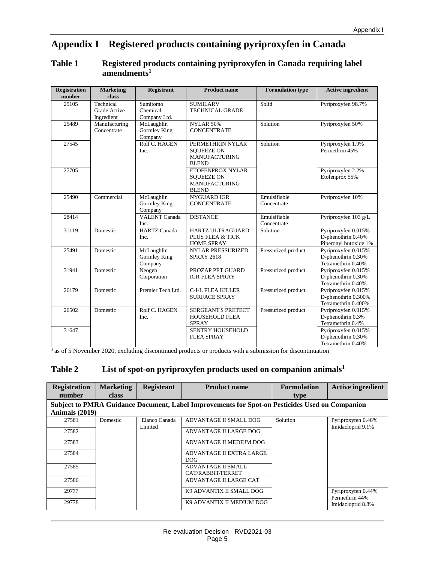# **Appendix I Registered products containing pyriproxyfen in Canada**

#### **Table 1 Registered products containing pyriproxyfen in Canada requiring label amendments1**

| <b>Registration</b><br>number | <b>Marketing</b><br>class               | <b>Registrant</b>                            | <b>Product name</b>                                                           | <b>Formulation type</b>     | <b>Active ingredient</b>                                           |
|-------------------------------|-----------------------------------------|----------------------------------------------|-------------------------------------------------------------------------------|-----------------------------|--------------------------------------------------------------------|
| 25105                         | Technical<br>Grade Active<br>Ingredient | Sumitomo<br>Chemical<br>Company Ltd.         | <b>SUMILARV</b><br><b>TECHNICAL GRADE</b>                                     | Solid                       | Pyriproxyfen 98.7%                                                 |
| 25489                         | Manufacturing<br>Concentrate            | McLaughlin<br>Gormley King<br>Company        | <b>NYLAR 50%</b><br><b>CONCENTRATE</b>                                        | Solution                    | Pyriproxyfen 50%                                                   |
| 27545                         |                                         | Rolf C. HAGEN<br>Inc.                        | PERMETHRIN NYLAR<br><b>SOUEEZE ON</b><br><b>MANUFACTURING</b><br><b>BLEND</b> | Solution                    | Pyriproxyfen 1.9%<br>Permethrin 45%                                |
| 27705                         |                                         |                                              | ETOFENPROX NYLAR<br><b>SOUEEZE ON</b><br><b>MANUFACTURING</b><br><b>BLEND</b> |                             | Pyriproxyfen 2.2%<br>Etofenprox 55%                                |
| 25490                         | Commercial                              | McLaughlin<br><b>Gormley King</b><br>Company | <b>NYGUARD IGR</b><br><b>CONCENTRATE</b>                                      | Emulsifiable<br>Concentrate | Pyriproxyfen 10%                                                   |
| 28414                         |                                         | <b>VALENT Canada</b><br>Inc.                 | <b>DISTANCE</b>                                                               | Emulsifiable<br>Concentrate | Pyriproxyfen 103 g/L                                               |
| 31119                         | Domestic                                | <b>HARTZ Canada</b><br>Inc.                  | HARTZ ULTRAGUARD<br>PLUS FLEA & TICK<br><b>HOME SPRAY</b>                     | Solution                    | Pyriproxyfen 0.015%<br>D-phenothrin 0.40%<br>Piperonyl butoxide 1% |
| 25491                         | Domestic                                | McLaughlin<br>Gormley King<br>Company        | NYLAR PRESSURIZED<br><b>SPRAY 2618</b>                                        | Pressurized product         | Pyriproxyfen 0.015%<br>D-phenothrin 0.30%<br>Tetramethrin 0.40%    |
| 31941                         | Domestic                                | Neogen<br>Corporation                        | PROZAP PET GUARD<br><b>IGR FLEA SPRAY</b>                                     | Pressurized product         | Pyriproxyfen 0.015%<br>D-phenothrin 0.30%<br>Tetramethrin 0.40%    |
| 26179                         | Domestic                                | Premier Tech Ltd.                            | <b>C-I-L FLEA KILLER</b><br><b>SURFACE SPRAY</b>                              | Pressurized product         | Pyriproxyfen 0.015%<br>D-phenothrin 0.300%<br>Tetramethrin 0.400%  |
| 26502                         | Domestic                                | Rolf C. HAGEN<br>Inc.                        | <b>SERGEANT'S PRETECT</b><br>HOUSEHOLD FLEA<br><b>SPRAY</b>                   | Pressurized product         | Pyriproxyfen 0.015%<br>D-phenothrin 0.3%<br>Tetramethrin 0.4%      |
| 31647                         |                                         |                                              | SENTRY HOUSEHOLD<br><b>FLEA SPRAY</b>                                         |                             | Pyriproxyfen 0.015%<br>D-phenothrin 0.30%<br>Tetramethrin 0.40%    |

 $\frac{1}{1}$  as of 5 November 2020, excluding discontinued products or products with a submission for discontinuation

#### Table 2 **List of spot-on pyriproxyfen products used on companion animals<sup>1</sup>**

| <b>Registration</b>                                                                            | <b>Marketing</b> | <b>Registrant</b>        | <b>Product name</b>                            | <b>Formulation</b> | <b>Active ingredient</b>                |  |
|------------------------------------------------------------------------------------------------|------------------|--------------------------|------------------------------------------------|--------------------|-----------------------------------------|--|
| number                                                                                         | <b>class</b>     |                          |                                                | type               |                                         |  |
| Subject to PMRA Guidance Document, Label Improvements for Spot-on Pesticides Used on Companion |                  |                          |                                                |                    |                                         |  |
| Animals (2019)                                                                                 |                  |                          |                                                |                    |                                         |  |
| 27581                                                                                          | Domestic         | Elanco Canada<br>Limited | ADVANTAGE II SMALL DOG                         | Solution           | Pyriproxyfen 0.46%<br>Imidacloprid 9.1% |  |
| 27582                                                                                          |                  |                          | ADVANTAGE II LARGE DOG                         |                    |                                         |  |
| 27583                                                                                          |                  |                          | ADVANTAGE II MEDIUM DOG                        |                    |                                         |  |
| 27584                                                                                          |                  |                          | ADVANTAGE II EXTRA LARGE<br><b>DOG</b>         |                    |                                         |  |
| 27585                                                                                          |                  |                          | <b>ADVANTAGE II SMALL</b><br>CAT/RABBIT/FERRET |                    |                                         |  |
| 27586                                                                                          |                  |                          | ADVANTAGE II LARGE CAT                         |                    |                                         |  |
| 29777                                                                                          |                  |                          | K9 ADVANTIX II SMALL DOG                       |                    | Pyriproxyfen 0.44%<br>Permethrin 44%    |  |
| 29778                                                                                          |                  |                          | K9 ADVANTIX II MEDIUM DOG                      |                    | Imidacloprid 8.8%                       |  |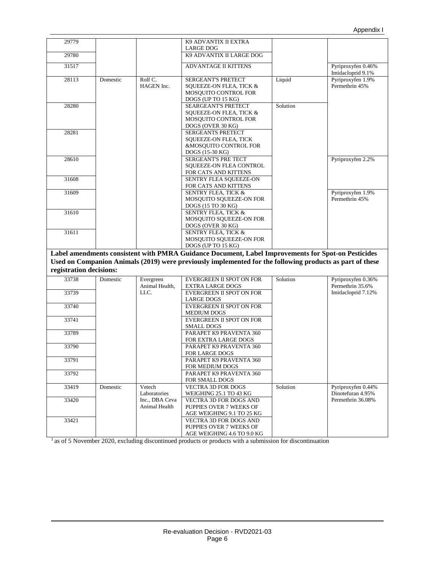| 29779                   |          |                                 | K9 ADVANTIX II EXTRA                                                                                     |          |                                         |
|-------------------------|----------|---------------------------------|----------------------------------------------------------------------------------------------------------|----------|-----------------------------------------|
| 29780                   |          |                                 | LARGE DOG<br>K9 ADVANTIX II LARGE DOG                                                                    |          |                                         |
|                         |          |                                 |                                                                                                          |          |                                         |
| 31517                   |          |                                 | <b>ADVANTAGE II KITTENS</b>                                                                              |          | Pyriproxyfen 0.46%<br>Imidacloprid 9.1% |
| 28113                   | Domestic | Rolf C.                         | SERGEANT'S PRETECT                                                                                       | Liquid   | Pyriproxyfen 1.9%                       |
|                         |          | HAGEN Inc.                      | SQUEEZE-ON FLEA, TICK &                                                                                  |          | Permethrin 45%                          |
|                         |          |                                 | <b>MOSQUITO CONTROL FOR</b><br>DOGS (UP TO 15 KG)                                                        |          |                                         |
| 28280                   |          |                                 | <b>SEARGEANT'S PRETECT</b>                                                                               | Solution |                                         |
|                         |          |                                 | SQUEEZE-ON FLEA, TICK &                                                                                  |          |                                         |
|                         |          |                                 | MOSOUITO CONTROL FOR                                                                                     |          |                                         |
|                         |          |                                 | DOGS (OVER 30 KG)                                                                                        |          |                                         |
| 28281                   |          |                                 | <b>SERGEANTS PRETECT</b>                                                                                 |          |                                         |
|                         |          |                                 | SQUEEZE-ON FLEA, TICK<br>&MOSQUITO CONTROL FOR                                                           |          |                                         |
|                         |          |                                 | DOGS (15-30 KG)                                                                                          |          |                                         |
| 28610                   |          |                                 | SERGEANT'S PRE TECT                                                                                      |          | Pyriproxyfen 2.2%                       |
|                         |          |                                 | SQUEEZE-ON FLEA CONTROL                                                                                  |          |                                         |
|                         |          |                                 | FOR CATS AND KITTENS                                                                                     |          |                                         |
| 31608                   |          |                                 | SENTRY FLEA SQUEEZE-ON                                                                                   |          |                                         |
| 31609                   |          |                                 | FOR CATS AND KITTENS<br><b>SENTRY FLEA, TICK &amp;</b>                                                   |          | Pyriproxyfen 1.9%                       |
|                         |          |                                 | MOSQUITO SQUEEZE-ON FOR                                                                                  |          | Permethrin 45%                          |
|                         |          |                                 | DOGS (15 TO 30 KG)                                                                                       |          |                                         |
| 31610                   |          |                                 | <b>SENTRY FLEA. TICK &amp;</b>                                                                           |          |                                         |
|                         |          |                                 | MOSQUITO SQUEEZE-ON FOR                                                                                  |          |                                         |
|                         |          |                                 | DOGS (OVER 30 KG)                                                                                        |          |                                         |
| 31611                   |          |                                 | <b>SENTRY FLEA, TICK &amp;</b><br>MOSQUITO SQUEEZE-ON FOR                                                |          |                                         |
|                         |          |                                 | DOGS (UP TO 15 KG)                                                                                       |          |                                         |
|                         |          |                                 | Label amendments consistent with PMRA Guidance Document, Label Improvements for Spot-on Pesticides       |          |                                         |
|                         |          |                                 | Used on Companion Animals (2019) were previously implemented for the following products as part of these |          |                                         |
| registration decisions: |          |                                 |                                                                                                          |          |                                         |
| 33738                   | Domestic | Evergreen                       | EVERGREEN II SPOT ON FOR                                                                                 | Solution | Pyriproxyfen 0.36%                      |
|                         |          | Animal Health,                  | <b>EXTRA LARGE DOGS</b>                                                                                  |          | Permethrin 35.6%                        |
| 33739                   |          | LLC.                            | <b>EVERGREEN II SPOT ON FOR</b>                                                                          |          | Imidacloprid 7.12%                      |
|                         |          |                                 | <b>LARGE DOGS</b>                                                                                        |          |                                         |
| 33740                   |          |                                 | EVERGREEN II SPOT ON FOR<br>MEDIUM DOGS                                                                  |          |                                         |
| 33741                   |          |                                 | EVERGREEN II SPOT ON FOR                                                                                 |          |                                         |
|                         |          |                                 | <b>SMALL DOGS</b>                                                                                        |          |                                         |
| 33789                   |          |                                 | PARAPET K9 PRAVENTA 360                                                                                  |          |                                         |
|                         |          |                                 | FOR EXTRA LARGE DOGS                                                                                     |          |                                         |
| 33790                   |          |                                 | PARAPET K9 PRAVENTA 360                                                                                  |          |                                         |
| 33791                   |          |                                 | FOR LARGE DOGS<br>PARAPET K9 PRAVENTA 360                                                                |          |                                         |
|                         |          |                                 | FOR MEDIUM DOGS                                                                                          |          |                                         |
| 33792                   |          |                                 | PARAPET K9 PRAVENTA 360                                                                                  |          |                                         |
|                         |          |                                 | FOR SMALL DOGS                                                                                           |          |                                         |
| 33419                   | Domestic | Vetech                          | <b>VECTRA 3D FOR DOGS</b>                                                                                | Solution | Pyriproxyfen 0.44%                      |
|                         |          | Laboratories                    | WEIGHING 25.1 TO 43 KG                                                                                   |          | Dinotefuran 4.95%                       |
| 33420                   |          | Inc., DBA Ceva<br>Animal Health | VECTRA 3D FOR DOGS AND                                                                                   |          | Permethrin 36.08%                       |
|                         |          |                                 | PUPPIES OVER 7 WEEKS OF<br>AGE WEIGHING 9.1 TO 25 KG                                                     |          |                                         |
| 33421                   |          |                                 | VECTRA 3D FOR DOGS AND                                                                                   |          |                                         |
|                         |          |                                 | PUPPIES OVER 7 WEEKS OF                                                                                  |          |                                         |
|                         |          |                                 | AGE WEIGHING 4.6 TO 9.0 KG                                                                               |          |                                         |

<sup>1</sup> as of 5 November 2020, excluding discontinued products or products with a submission for discontinuation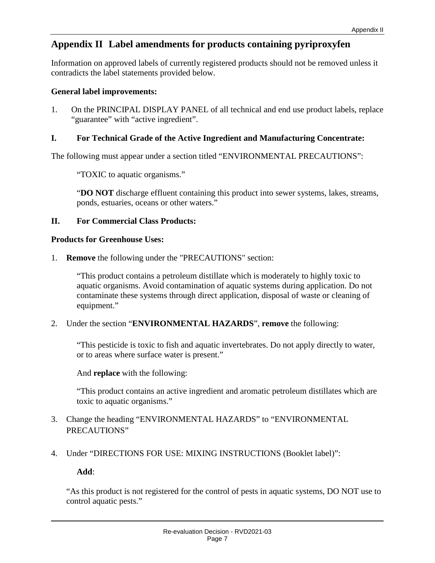# **Appendix II Label amendments for products containing pyriproxyfen**

Information on approved labels of currently registered products should not be removed unless it contradicts the label statements provided below.

#### **General label improvements:**

1. On the PRINCIPAL DISPLAY PANEL of all technical and end use product labels, replace "guarantee" with "active ingredient".

#### **I. For Technical Grade of the Active Ingredient and Manufacturing Concentrate:**

The following must appear under a section titled "ENVIRONMENTAL PRECAUTIONS":

"TOXIC to aquatic organisms."

"**DO NOT** discharge effluent containing this product into sewer systems, lakes, streams, ponds, estuaries, oceans or other waters."

#### **II. For Commercial Class Products:**

#### **Products for Greenhouse Uses:**

1. **Remove** the following under the "PRECAUTIONS" section:

"This product contains a petroleum distillate which is moderately to highly toxic to aquatic organisms. Avoid contamination of aquatic systems during application. Do not contaminate these systems through direct application, disposal of waste or cleaning of equipment."

2. Under the section "**ENVIRONMENTAL HAZARDS**", **remove** the following:

"This pesticide is toxic to fish and aquatic invertebrates. Do not apply directly to water, or to areas where surface water is present."

And **replace** with the following:

"This product contains an active ingredient and aromatic petroleum distillates which are toxic to aquatic organisms."

- 3. Change the heading "ENVIRONMENTAL HAZARDS" to "ENVIRONMENTAL PRECAUTIONS"
- 4. Under "DIRECTIONS FOR USE: MIXING INSTRUCTIONS (Booklet label)":

#### **Add**:

"As this product is not registered for the control of pests in aquatic systems, DO NOT use to control aquatic pests."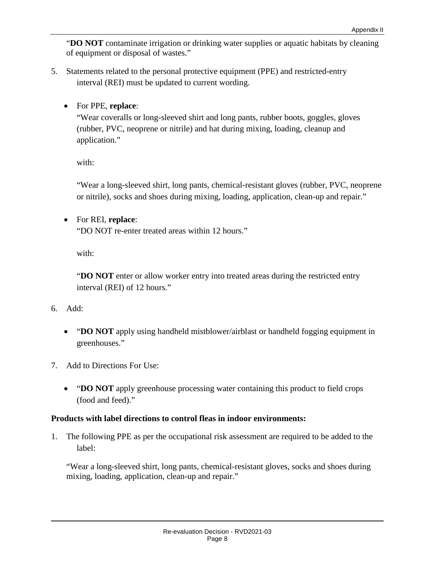"**DO NOT** contaminate irrigation or drinking water supplies or aquatic habitats by cleaning of equipment or disposal of wastes."

- 5. Statements related to the personal protective equipment (PPE) and restricted-entry interval (REI) must be updated to current wording.
	- For PPE, **replace**:

"Wear coveralls or long-sleeved shirt and long pants, rubber boots, goggles, gloves (rubber, PVC, neoprene or nitrile) and hat during mixing, loading, cleanup and application."

with:

"Wear a long-sleeved shirt, long pants, chemical-resistant gloves (rubber, PVC, neoprene or nitrile), socks and shoes during mixing, loading, application, clean-up and repair."

• For REI, **replace**:

"DO NOT re-enter treated areas within 12 hours."

with:

"**DO NOT** enter or allow worker entry into treated areas during the restricted entry interval (REI) of 12 hours."

- 6. Add:
	- "**DO NOT** apply using handheld mistblower/airblast or handheld fogging equipment in greenhouses."
- 7. Add to Directions For Use:
	- **"DO NOT** apply greenhouse processing water containing this product to field crops (food and feed)."

#### **Products with label directions to control fleas in indoor environments:**

1. The following PPE as per the occupational risk assessment are required to be added to the label:

"Wear a long-sleeved shirt, long pants, chemical-resistant gloves, socks and shoes during mixing, loading, application, clean-up and repair."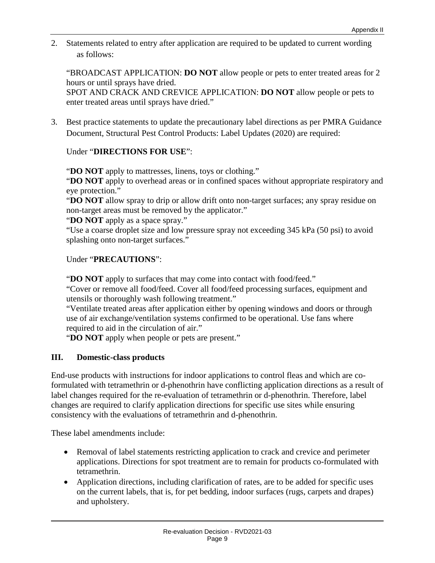2. Statements related to entry after application are required to be updated to current wording as follows:

"BROADCAST APPLICATION: **DO NOT** allow people or pets to enter treated areas for 2 hours or until sprays have dried.

SPOT AND CRACK AND CREVICE APPLICATION: **DO NOT** allow people or pets to enter treated areas until sprays have dried."

3. Best practice statements to update the precautionary label directions as per PMRA Guidance Document, Structural Pest Control Products: Label Updates (2020) are required:

#### Under "**DIRECTIONS FOR USE**":

"**DO NOT** apply to mattresses, linens, toys or clothing."

"**DO NOT** apply to overhead areas or in confined spaces without appropriate respiratory and eye protection."

"**DO NOT** allow spray to drip or allow drift onto non-target surfaces; any spray residue on non-target areas must be removed by the applicator."

"**DO NOT** apply as a space spray."

"Use a coarse droplet size and low pressure spray not exceeding 345 kPa (50 psi) to avoid splashing onto non-target surfaces."

Under "**PRECAUTIONS**":

"**DO NOT** apply to surfaces that may come into contact with food/feed."

"Cover or remove all food/feed. Cover all food/feed processing surfaces, equipment and utensils or thoroughly wash following treatment."

"Ventilate treated areas after application either by opening windows and doors or through use of air exchange/ventilation systems confirmed to be operational. Use fans where required to aid in the circulation of air."

"**DO NOT** apply when people or pets are present."

#### **III. Domestic-class products**

End-use products with instructions for indoor applications to control fleas and which are coformulated with tetramethrin or d-phenothrin have conflicting application directions as a result of label changes required for the re-evaluation of tetramethrin or d-phenothrin. Therefore, label changes are required to clarify application directions for specific use sites while ensuring consistency with the evaluations of tetramethrin and d-phenothrin.

These label amendments include:

- Removal of label statements restricting application to crack and crevice and perimeter applications. Directions for spot treatment are to remain for products co-formulated with tetramethrin.
- Application directions, including clarification of rates, are to be added for specific uses on the current labels, that is, for pet bedding, indoor surfaces (rugs, carpets and drapes) and upholstery.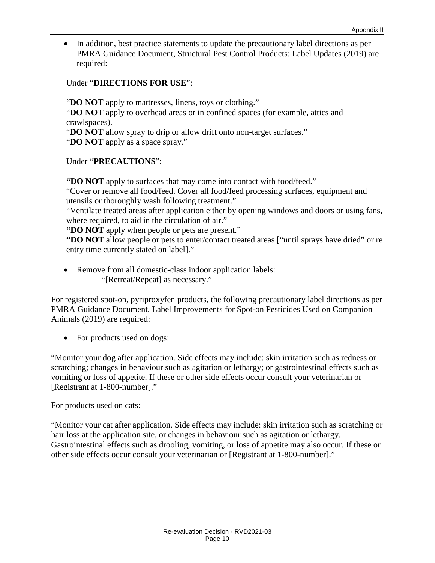• In addition, best practice statements to update the precautionary label directions as per PMRA Guidance Document, Structural Pest Control Products: Label Updates (2019) are required:

#### Under "**DIRECTIONS FOR USE**":

"**DO NOT** apply to mattresses, linens, toys or clothing." "**DO NOT** apply to overhead areas or in confined spaces (for example, attics and crawlspaces). "**DO NOT** allow spray to drip or allow drift onto non-target surfaces."

"**DO NOT** apply as a space spray."

Under "**PRECAUTIONS**":

**"DO NOT** apply to surfaces that may come into contact with food/feed."

"Cover or remove all food/feed. Cover all food/feed processing surfaces, equipment and utensils or thoroughly wash following treatment."

"Ventilate treated areas after application either by opening windows and doors or using fans, where required, to aid in the circulation of air."

**"DO NOT** apply when people or pets are present."

**"DO NOT** allow people or pets to enter/contact treated areas ["until sprays have dried" or re entry time currently stated on label]."

• Remove from all domestic-class indoor application labels: "[Retreat/Repeat] as necessary."

For registered spot-on, pyriproxyfen products, the following precautionary label directions as per PMRA Guidance Document, Label Improvements for Spot-on Pesticides Used on Companion Animals (2019) are required:

• For products used on dogs:

"Monitor your dog after application. Side effects may include: skin irritation such as redness or scratching; changes in behaviour such as agitation or lethargy; or gastrointestinal effects such as vomiting or loss of appetite. If these or other side effects occur consult your veterinarian or [Registrant at 1-800-number]."

For products used on cats:

"Monitor your cat after application. Side effects may include: skin irritation such as scratching or hair loss at the application site, or changes in behaviour such as agitation or lethargy. Gastrointestinal effects such as drooling, vomiting, or loss of appetite may also occur. If these or other side effects occur consult your veterinarian or [Registrant at 1-800-number]."